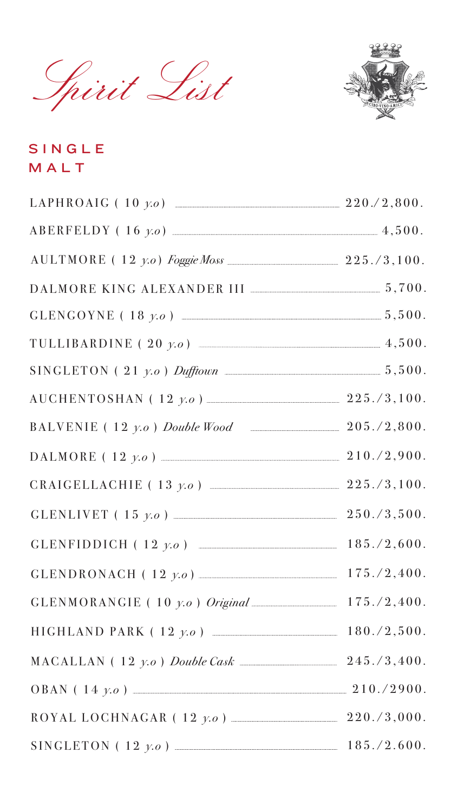





| $\text{LAPHROAIG}$ (10 $\gamma.o$ )         | 220./2,800. |
|---------------------------------------------|-------------|
| $ABERFELDY (16 y.o)$ 4,500.                 |             |
| $AULTMORE (12 y.o) Foggie Moss$ 225./3,100. |             |
|                                             |             |
|                                             |             |
| TULLIBARDINE (20 y.o)                       | 4,500.      |
| $SINGLETON (21 y.o.)$ Dufftown              | 5,500.      |

| $\text{AUCHENTOSHAN}$ (12 $y.o$ ) 225./3,100. |             |
|-----------------------------------------------|-------------|
| BALVENIE (12 $y.o$ ) Double Wood 205./2,800.  |             |
| $\text{DALMORE}$ (12 $y.o$ )                  | 210./2,900. |
| CRAIGELLACHIE (13 $y.o$ ) 225./3,100.         |             |
| GLENLIVET (15 $y.o$ ) 250./3,500.             |             |
| GLENFIDDICH (12 $y.o$ ) 185./2,600.           |             |
|                                               |             |
| $GLENMORANGIE (10 y.o.)$ Original 175./2,400. |             |
| HIGHLAND PARK (12 y.o)                        | 180./2,500. |
| MACALLAN (12 $y.o$ ) Double Cask 245./3,400.  |             |
| $OBAN (14 y.o)$ 210./2900.                    |             |
| ROYAL LOCHNAGAR (12 $y.o$ )                   | 220./3,000. |
|                                               |             |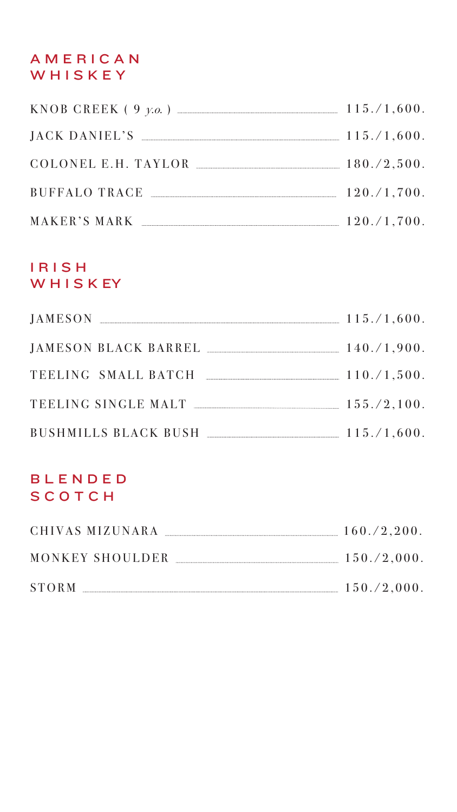### IRISH WHISK EY

### AMERICAN WHISKEY

| KNOB CREEK $(9 \text{ y.o.})$ | 115./1,600.    |
|-------------------------------|----------------|
| JACK DANIEL'S                 | 115./1,600.    |
| COLONEL E.H. TAYLOR           | 180./2,500.    |
| BUFFALO TRACE                 | 120./1,700.    |
| MAKER'S MARK                  | 120. / 1, 700. |

| JAMESON |                      | 115./1,600. |
|---------|----------------------|-------------|
|         | JAMESON BLACK BARREL | 140./1.900. |
|         | TEELING SMALL BATCH  | 110./1,500. |

| TEELING SINGLE MALT              | 155./2,100. |
|----------------------------------|-------------|
| BUSHMILLS BLACK BUSH 115./1,600. |             |
| BLENDED<br>SCOTCH                |             |
| CHIVAS MIZUNARA $160./2,200.$    |             |
| MONKEY SHOULDER MONKEY SHOULDER  | 150./2,000. |
|                                  | 150./2,000. |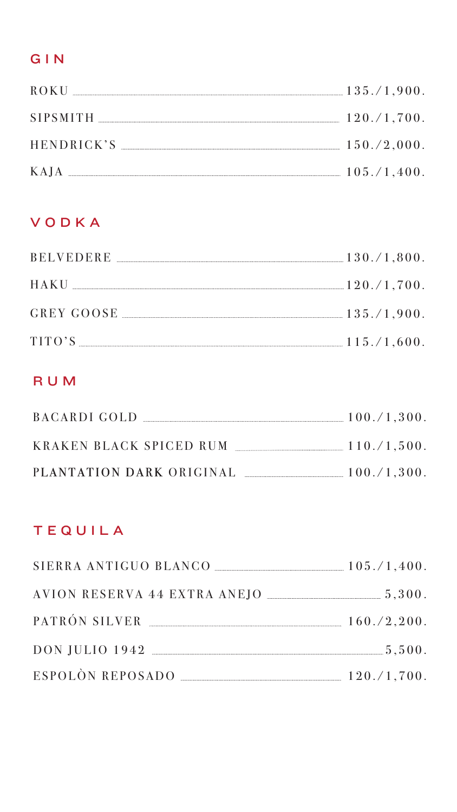# GIN

| ROKU              | 135./1,900.    |
|-------------------|----------------|
| <b>SIPSMITH</b>   | 120. / 1, 700. |
| <b>HENDRICK'S</b> | 150./2,000.    |
| KAJA              | 105./1,400.    |

#### R U M

# T E Q U I L A

| BACARDI GOLD             | 100./1,300. |
|--------------------------|-------------|
| KRAKEN BLACK SPICED RUM  | 110./1,500. |
| PLANTATION DARK ORIGINAL | 100./1,300. |

| $SIERRA ANTIGUO BLANCO$ $105./1,400.$ |                |
|---------------------------------------|----------------|
| AVION RESERVA 44 EXTRA ANEJO          |                |
| PATRÓN SILVER                         | 160./2,200.    |
| $\rm{DOM~JULIO~1942}$ $\sim$          |                |
| ESPOLÒN REPOSADO                      | 120. / 1, 700. |

## VODKA

| <b>BELVEDERE</b> | $130./1,800$ .   |
|------------------|------------------|
| HAKU             | $-120.71,700.$   |
| GREY GOOSE       | 135./1.900.      |
| TITO'S           | $-115. / 1,600.$ |